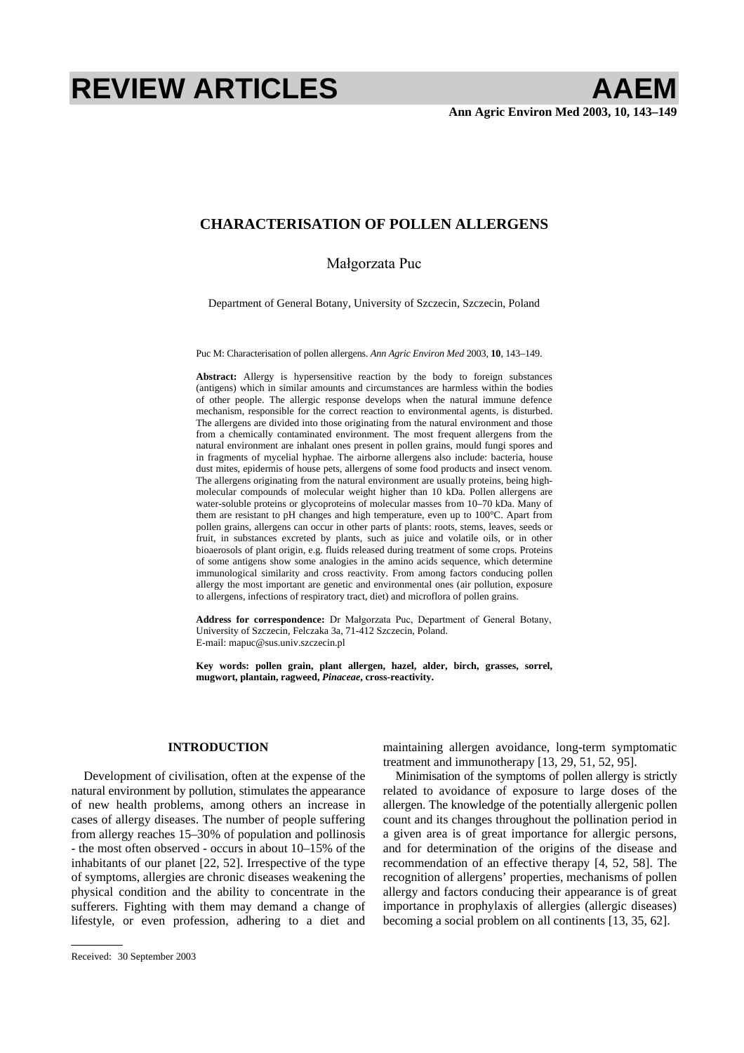# **REVIEW ARTICLES AAEM**

## **CHARACTERISATION OF POLLEN ALLERGENS**

## Małgorzata Puc

Department of General Botany, University of Szczecin, Szczecin, Poland

Puc M: Characterisation of pollen allergens. *Ann Agric Environ Med* 2003, **10**, 143–149.

**Abstract:** Allergy is hypersensitive reaction by the body to foreign substances (antigens) which in similar amounts and circumstances are harmless within the bodies of other people. The allergic response develops when the natural immune defence mechanism, responsible for the correct reaction to environmental agents, is disturbed. The allergens are divided into those originating from the natural environment and those from a chemically contaminated environment. The most frequent allergens from the natural environment are inhalant ones present in pollen grains, mould fungi spores and in fragments of mycelial hyphae. The airborne allergens also include: bacteria, house dust mites, epidermis of house pets, allergens of some food products and insect venom. The allergens originating from the natural environment are usually proteins, being highmolecular compounds of molecular weight higher than 10 kDa. Pollen allergens are water-soluble proteins or glycoproteins of molecular masses from 10–70 kDa. Many of them are resistant to pH changes and high temperature, even up to 100°C. Apart from pollen grains, allergens can occur in other parts of plants: roots, stems, leaves, seeds or fruit, in substances excreted by plants, such as juice and volatile oils, or in other bioaerosols of plant origin, e.g. fluids released during treatment of some crops. Proteins of some antigens show some analogies in the amino acids sequence, which determine immunological similarity and cross reactivity. From among factors conducing pollen allergy the most important are genetic and environmental ones (air pollution, exposure to allergens, infections of respiratory tract, diet) and microflora of pollen grains.

Address for correspondence: Dr Małgorzata Puc, Department of General Botany, University of Szczecin, Felczaka 3a, 71-412 Szczecin, Poland. E-mail: mapuc@sus.univ.szczecin.pl

**Key words: pollen grain, plant allergen, hazel, alder, birch, grasses, sorrel, mugwort, plantain, ragweed,** *Pinaceae***, cross-reactivity.** 

#### **INTRODUCTION**

Development of civilisation, often at the expense of the natural environment by pollution, stimulates the appearance of new health problems, among others an increase in cases of allergy diseases. The number of people suffering from allergy reaches 15–30% of population and pollinosis - the most often observed - occurs in about 10–15% of the inhabitants of our planet [22, 52]. Irrespective of the type of symptoms, allergies are chronic diseases weakening the physical condition and the ability to concentrate in the sufferers. Fighting with them may demand a change of lifestyle, or even profession, adhering to a diet and

allergen. The knowledge of the potentially allergenic pollen count and its changes throughout the pollination period in

a given area is of great importance for allergic persons, and for determination of the origins of the disease and recommendation of an effective therapy [4, 52, 58]. The recognition of allergens' properties, mechanisms of pollen allergy and factors conducing their appearance is of great importance in prophylaxis of allergies (allergic diseases) becoming a social problem on all continents [13, 35, 62].

maintaining allergen avoidance, long-term symptomatic treatment and immunotherapy [13, 29, 51, 52, 95].

Minimisation of the symptoms of pollen allergy is strictly related to avoidance of exposure to large doses of the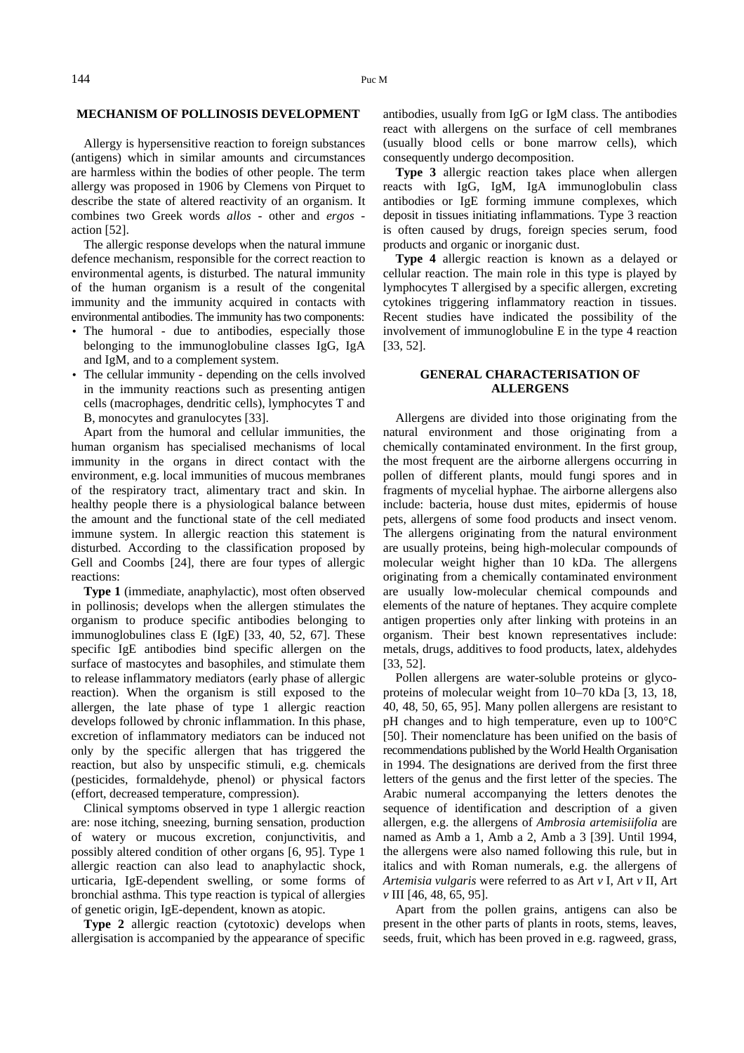#### **MECHANISM OF POLLINOSIS DEVELOPMENT**

Allergy is hypersensitive reaction to foreign substances (antigens) which in similar amounts and circumstances are harmless within the bodies of other people. The term allergy was proposed in 1906 by Clemens von Pirquet to describe the state of altered reactivity of an organism. It combines two Greek words *allos* - other and *ergos* action [52].

The allergic response develops when the natural immune defence mechanism, responsible for the correct reaction to environmental agents, is disturbed. The natural immunity of the human organism is a result of the congenital immunity and the immunity acquired in contacts with environmental antibodies. The immunity has two components:

- The humoral due to antibodies, especially those belonging to the immunoglobuline classes IgG, IgA and IgM, and to a complement system.
- The cellular immunity depending on the cells involved in the immunity reactions such as presenting antigen cells (macrophages, dendritic cells), lymphocytes T and B, monocytes and granulocytes [33].

Apart from the humoral and cellular immunities, the human organism has specialised mechanisms of local immunity in the organs in direct contact with the environment, e.g. local immunities of mucous membranes of the respiratory tract, alimentary tract and skin. In healthy people there is a physiological balance between the amount and the functional state of the cell mediated immune system. In allergic reaction this statement is disturbed. According to the classification proposed by Gell and Coombs [24], there are four types of allergic reactions:

**Type 1** (immediate, anaphylactic), most often observed in pollinosis; develops when the allergen stimulates the organism to produce specific antibodies belonging to immunoglobulines class E (IgE) [33, 40, 52, 67]. These specific IgE antibodies bind specific allergen on the surface of mastocytes and basophiles, and stimulate them to release inflammatory mediators (early phase of allergic reaction). When the organism is still exposed to the allergen, the late phase of type 1 allergic reaction develops followed by chronic inflammation. In this phase, excretion of inflammatory mediators can be induced not only by the specific allergen that has triggered the reaction, but also by unspecific stimuli, e.g. chemicals (pesticides, formaldehyde, phenol) or physical factors (effort, decreased temperature, compression).

Clinical symptoms observed in type 1 allergic reaction are: nose itching, sneezing, burning sensation, production of watery or mucous excretion, conjunctivitis, and possibly altered condition of other organs [6, 95]. Type 1 allergic reaction can also lead to anaphylactic shock, urticaria, IgE-dependent swelling, or some forms of bronchial asthma. This type reaction is typical of allergies of genetic origin, IgE-dependent, known as atopic.

**Type 2** allergic reaction (cytotoxic) develops when allergisation is accompanied by the appearance of specific antibodies, usually from IgG or IgM class. The antibodies react with allergens on the surface of cell membranes (usually blood cells or bone marrow cells), which consequently undergo decomposition.

**Type 3** allergic reaction takes place when allergen reacts with IgG, IgM, IgA immunoglobulin class antibodies or IgE forming immune complexes, which deposit in tissues initiating inflammations. Type 3 reaction is often caused by drugs, foreign species serum, food products and organic or inorganic dust.

**Type 4** allergic reaction is known as a delayed or cellular reaction. The main role in this type is played by lymphocytes T allergised by a specific allergen, excreting cytokines triggering inflammatory reaction in tissues. Recent studies have indicated the possibility of the involvement of immunoglobuline E in the type 4 reaction [33, 52].

## **GENERAL CHARACTERISATION OF ALLERGENS**

Allergens are divided into those originating from the natural environment and those originating from a chemically contaminated environment. In the first group, the most frequent are the airborne allergens occurring in pollen of different plants, mould fungi spores and in fragments of mycelial hyphae. The airborne allergens also include: bacteria, house dust mites, epidermis of house pets, allergens of some food products and insect venom. The allergens originating from the natural environment are usually proteins, being high-molecular compounds of molecular weight higher than 10 kDa. The allergens originating from a chemically contaminated environment are usually low-molecular chemical compounds and elements of the nature of heptanes. They acquire complete antigen properties only after linking with proteins in an organism. Their best known representatives include: metals, drugs, additives to food products, latex, aldehydes [33, 52].

Pollen allergens are water-soluble proteins or glycoproteins of molecular weight from 10–70 kDa [3, 13, 18, 40, 48, 50, 65, 95]. Many pollen allergens are resistant to pH changes and to high temperature, even up to 100°C [50]. Their nomenclature has been unified on the basis of recommendations published by the World Health Organisation in 1994. The designations are derived from the first three letters of the genus and the first letter of the species. The Arabic numeral accompanying the letters denotes the sequence of identification and description of a given allergen, e.g. the allergens of *Ambrosia artemisiifolia* are named as Amb a 1, Amb a 2, Amb a 3 [39]. Until 1994, the allergens were also named following this rule, but in italics and with Roman numerals, e.g. the allergens of *Artemisia vulgaris* were referred to as Art *v* I, Art *v* II, Art *v* III [46, 48, 65, 95].

Apart from the pollen grains, antigens can also be present in the other parts of plants in roots, stems, leaves, seeds, fruit, which has been proved in e.g. ragweed, grass,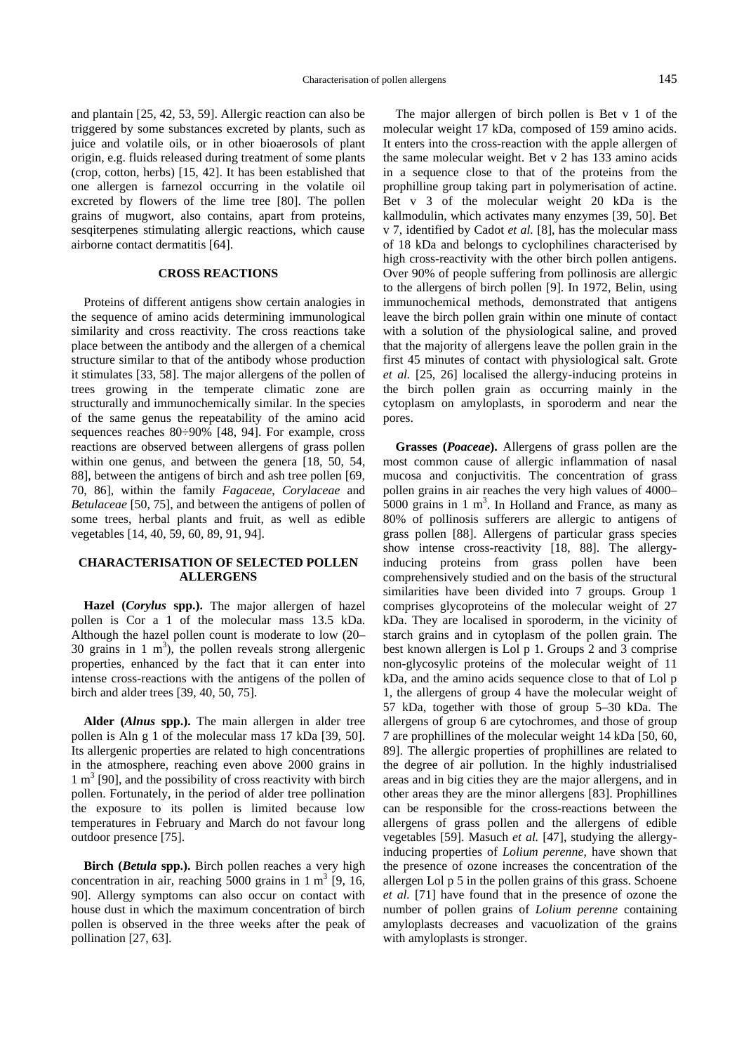and plantain [25, 42, 53, 59]. Allergic reaction can also be triggered by some substances excreted by plants, such as juice and volatile oils, or in other bioaerosols of plant origin, e.g. fluids released during treatment of some plants (crop, cotton, herbs) [15, 42]. It has been established that one allergen is farnezol occurring in the volatile oil excreted by flowers of the lime tree [80]. The pollen grains of mugwort, also contains, apart from proteins, sesqiterpenes stimulating allergic reactions, which cause

#### **CROSS REACTIONS**

airborne contact dermatitis [64].

Proteins of different antigens show certain analogies in the sequence of amino acids determining immunological similarity and cross reactivity. The cross reactions take place between the antibody and the allergen of a chemical structure similar to that of the antibody whose production it stimulates [33, 58]. The major allergens of the pollen of trees growing in the temperate climatic zone are structurally and immunochemically similar. In the species of the same genus the repeatability of the amino acid sequences reaches 80÷90% [48, 94]. For example, cross reactions are observed between allergens of grass pollen within one genus, and between the genera [18, 50, 54, 88], between the antigens of birch and ash tree pollen [69, 70, 86], within the family *Fagaceae*, *Corylaceae* and *Betulaceae* [50, 75], and between the antigens of pollen of some trees, herbal plants and fruit, as well as edible vegetables [14, 40, 59, 60, 89, 91, 94].

## **CHARACTERISATION OF SELECTED POLLEN ALLERGENS**

**Hazel (***Corylus* **spp.).** The major allergen of hazel pollen is Cor a 1 of the molecular mass 13.5 kDa. Although the hazel pollen count is moderate to low (20– 30 grains in 1  $m<sup>3</sup>$ ), the pollen reveals strong allergenic properties, enhanced by the fact that it can enter into intense cross-reactions with the antigens of the pollen of birch and alder trees [39, 40, 50, 75].

**Alder (***Alnus* **spp.).** The main allergen in alder tree pollen is Aln g 1 of the molecular mass 17 kDa [39, 50]. Its allergenic properties are related to high concentrations in the atmosphere, reaching even above 2000 grains in 1 m<sup>3</sup> [90], and the possibility of cross reactivity with birch pollen. Fortunately, in the period of alder tree pollination the exposure to its pollen is limited because low temperatures in February and March do not favour long outdoor presence [75].

**Birch (***Betula* **spp.).** Birch pollen reaches a very high concentration in air, reaching  $5000$  grains in 1 m<sup>3</sup> [9, 16, 90]. Allergy symptoms can also occur on contact with house dust in which the maximum concentration of birch pollen is observed in the three weeks after the peak of pollination [27, 63].

The major allergen of birch pollen is Bet v 1 of the molecular weight 17 kDa, composed of 159 amino acids. It enters into the cross-reaction with the apple allergen of the same molecular weight. Bet v 2 has 133 amino acids in a sequence close to that of the proteins from the prophilline group taking part in polymerisation of actine. Bet v 3 of the molecular weight 20 kDa is the kallmodulin, which activates many enzymes [39, 50]. Bet v 7, identified by Cadot *et al.* [8], has the molecular mass of 18 kDa and belongs to cyclophilines characterised by high cross-reactivity with the other birch pollen antigens. Over 90% of people suffering from pollinosis are allergic to the allergens of birch pollen [9]. In 1972, Belin, using immunochemical methods, demonstrated that antigens leave the birch pollen grain within one minute of contact with a solution of the physiological saline, and proved that the majority of allergens leave the pollen grain in the first 45 minutes of contact with physiological salt. Grote *et al.* [25, 26] localised the allergy-inducing proteins in the birch pollen grain as occurring mainly in the cytoplasm on amyloplasts, in sporoderm and near the pores.

**Grasses (***Poaceae***).** Allergens of grass pollen are the most common cause of allergic inflammation of nasal mucosa and conjuctivitis. The concentration of grass pollen grains in air reaches the very high values of 4000–  $5000$  grains in 1 m<sup>3</sup>. In Holland and France, as many as 80% of pollinosis sufferers are allergic to antigens of grass pollen [88]. Allergens of particular grass species show intense cross-reactivity [18, 88]. The allergyinducing proteins from grass pollen have been comprehensively studied and on the basis of the structural similarities have been divided into 7 groups. Group 1 comprises glycoproteins of the molecular weight of 27 kDa. They are localised in sporoderm, in the vicinity of starch grains and in cytoplasm of the pollen grain. The best known allergen is Lol p 1. Groups 2 and 3 comprise non-glycosylic proteins of the molecular weight of 11 kDa, and the amino acids sequence close to that of Lol p 1, the allergens of group 4 have the molecular weight of 57 kDa, together with those of group 5–30 kDa. The allergens of group 6 are cytochromes, and those of group 7 are prophillines of the molecular weight 14 kDa [50, 60, 89]. The allergic properties of prophillines are related to the degree of air pollution. In the highly industrialised areas and in big cities they are the major allergens, and in other areas they are the minor allergens [83]. Prophillines can be responsible for the cross-reactions between the allergens of grass pollen and the allergens of edible vegetables [59]. Masuch *et al.* [47], studying the allergyinducing properties of *Lolium perenne*, have shown that the presence of ozone increases the concentration of the allergen Lol p 5 in the pollen grains of this grass. Schoene *et al.* [71] have found that in the presence of ozone the number of pollen grains of *Lolium perenne* containing amyloplasts decreases and vacuolization of the grains with amyloplasts is stronger.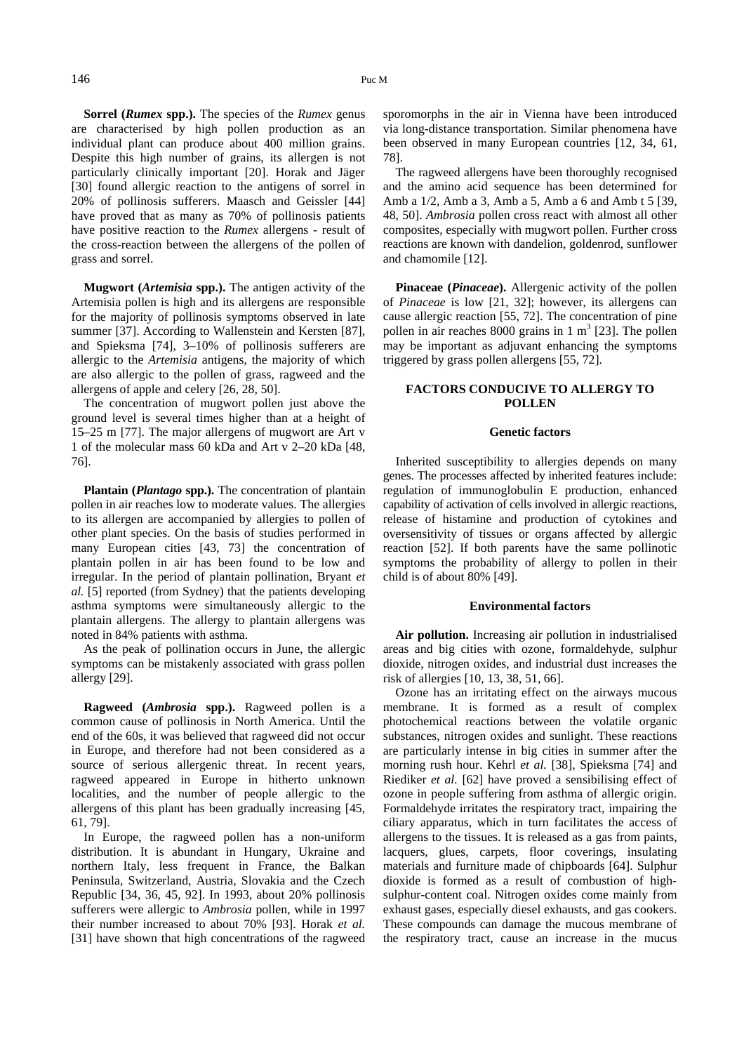**Sorrel (***Rumex* **spp.).** The species of the *Rumex* genus are characterised by high pollen production as an individual plant can produce about 400 million grains. Despite this high number of grains, its allergen is not particularly clinically important [20]. Horak and Jäger [30] found allergic reaction to the antigens of sorrel in 20% of pollinosis sufferers. Maasch and Geissler [44] have proved that as many as 70% of pollinosis patients have positive reaction to the *Rumex* allergens - result of the cross-reaction between the allergens of the pollen of grass and sorrel.

**Mugwort (***Artemisia* **spp.).** The antigen activity of the Artemisia pollen is high and its allergens are responsible for the majority of pollinosis symptoms observed in late summer [37]. According to Wallenstein and Kersten [87], and Spieksma [74], 3–10% of pollinosis sufferers are allergic to the *Artemisia* antigens, the majority of which are also allergic to the pollen of grass, ragweed and the allergens of apple and celery [26, 28, 50].

The concentration of mugwort pollen just above the ground level is several times higher than at a height of 15–25 m [77]. The major allergens of mugwort are Art v 1 of the molecular mass 60 kDa and Art v 2–20 kDa [48, 76].

**Plantain (***Plantago* spp.). The concentration of plantain pollen in air reaches low to moderate values. The allergies to its allergen are accompanied by allergies to pollen of other plant species. On the basis of studies performed in many European cities [43, 73] the concentration of plantain pollen in air has been found to be low and irregular. In the period of plantain pollination, Bryant *et al.* [5] reported (from Sydney) that the patients developing asthma symptoms were simultaneously allergic to the plantain allergens. The allergy to plantain allergens was noted in 84% patients with asthma.

As the peak of pollination occurs in June, the allergic symptoms can be mistakenly associated with grass pollen allergy [29].

**Ragweed (***Ambrosia* **spp.).** Ragweed pollen is a common cause of pollinosis in North America. Until the end of the 60s, it was believed that ragweed did not occur in Europe, and therefore had not been considered as a source of serious allergenic threat. In recent years, ragweed appeared in Europe in hitherto unknown localities, and the number of people allergic to the allergens of this plant has been gradually increasing [45, 61, 79].

In Europe, the ragweed pollen has a non-uniform distribution. It is abundant in Hungary, Ukraine and northern Italy, less frequent in France, the Balkan Peninsula, Switzerland, Austria, Slovakia and the Czech Republic [34, 36, 45, 92]. In 1993, about 20% pollinosis sufferers were allergic to *Ambrosia* pollen, while in 1997 their number increased to about 70% [93]. Horak *et al.* [31] have shown that high concentrations of the ragweed sporomorphs in the air in Vienna have been introduced via long-distance transportation. Similar phenomena have been observed in many European countries [12, 34, 61, 78].

The ragweed allergens have been thoroughly recognised and the amino acid sequence has been determined for Amb a 1/2, Amb a 3, Amb a 5, Amb a 6 and Amb t 5 [39, 48, 50]. *Ambrosia* pollen cross react with almost all other composites, especially with mugwort pollen. Further cross reactions are known with dandelion, goldenrod, sunflower and chamomile [12].

**Pinaceae (***Pinaceae***).** Allergenic activity of the pollen of *Pinaceae* is low [21, 32]; however, its allergens can cause allergic reaction [55, 72]. The concentration of pine pollen in air reaches 8000 grains in  $1 \text{ m}^3$  [23]. The pollen may be important as adjuvant enhancing the symptoms triggered by grass pollen allergens [55, 72].

## **FACTORS CONDUCIVE TO ALLERGY TO POLLEN**

## **Genetic factors**

Inherited susceptibility to allergies depends on many genes. The processes affected by inherited features include: regulation of immunoglobulin E production, enhanced capability of activation of cells involved in allergic reactions, release of histamine and production of cytokines and oversensitivity of tissues or organs affected by allergic reaction [52]. If both parents have the same pollinotic symptoms the probability of allergy to pollen in their child is of about 80% [49].

#### **Environmental factors**

**Air pollution.** Increasing air pollution in industrialised areas and big cities with ozone, formaldehyde, sulphur dioxide, nitrogen oxides, and industrial dust increases the risk of allergies [10, 13, 38, 51, 66].

Ozone has an irritating effect on the airways mucous membrane. It is formed as a result of complex photochemical reactions between the volatile organic substances, nitrogen oxides and sunlight. These reactions are particularly intense in big cities in summer after the morning rush hour. Kehrl *et al.* [38], Spieksma [74] and Riediker *et al.* [62] have proved a sensibilising effect of ozone in people suffering from asthma of allergic origin. Formaldehyde irritates the respiratory tract, impairing the ciliary apparatus, which in turn facilitates the access of allergens to the tissues. It is released as a gas from paints, lacquers, glues, carpets, floor coverings, insulating materials and furniture made of chipboards [64]. Sulphur dioxide is formed as a result of combustion of highsulphur-content coal. Nitrogen oxides come mainly from exhaust gases, especially diesel exhausts, and gas cookers. These compounds can damage the mucous membrane of the respiratory tract, cause an increase in the mucus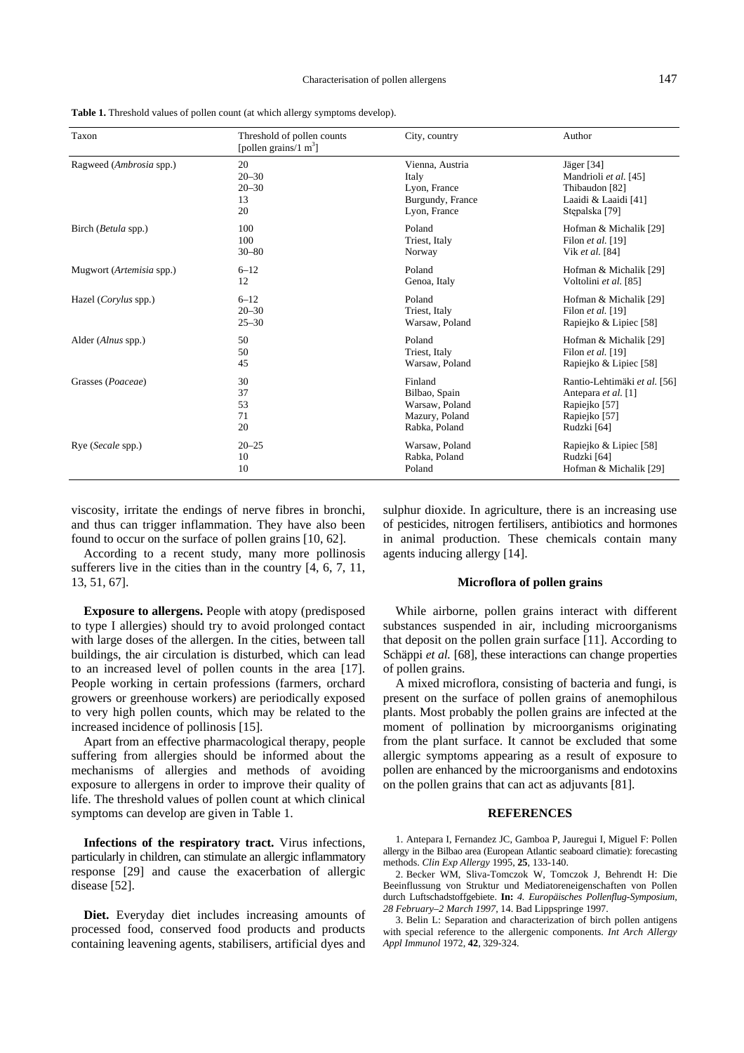| Taxon                        | Threshold of pollen counts<br>[pollen grains/1 $m3$ ] | City, country    | Author                       |
|------------------------------|-------------------------------------------------------|------------------|------------------------------|
| Ragweed (Ambrosia spp.)      | 20                                                    | Vienna, Austria  | Jäger [34]                   |
|                              | $20 - 30$                                             | Italy            | Mandrioli et al. [45]        |
|                              | $20 - 30$                                             | Lyon, France     | Thibaudon [82]               |
|                              | 13                                                    | Burgundy, France | Laaidi & Laaidi [41]         |
|                              | 20                                                    | Lyon, France     | Stepalska [79]               |
| Birch ( <i>Betula</i> spp.)  | 100                                                   | Poland           | Hofman & Michalik [29]       |
|                              | 100                                                   | Triest, Italy    | Filon et al. $[19]$          |
|                              | $30 - 80$                                             | Norway           | Vik et al. [84]              |
| Mugwort (Artemisia spp.)     | $6 - 12$                                              | Poland           | Hofman & Michalik [29]       |
|                              | 12                                                    | Genoa, Italy     | Voltolini et al. [85]        |
| Hazel ( <i>Corylus</i> spp.) | $6 - 12$                                              | Poland           | Hofman & Michalik [29]       |
|                              | $20 - 30$                                             | Triest, Italy    | Filon et al. $[19]$          |
|                              | $25 - 30$                                             | Warsaw, Poland   | Rapiejko & Lipiec [58]       |
| Alder ( <i>Alnus</i> spp.)   | 50                                                    | Poland           | Hofman & Michalik [29]       |
|                              | 50                                                    | Triest, Italy    | Filon et al. [19]            |
|                              | 45                                                    | Warsaw, Poland   | Rapiejko & Lipiec [58]       |
| Grasses (Poaceae)            | 30                                                    | Finland          | Rantio-Lehtimäki et al. [56] |
|                              | 37                                                    | Bilbao, Spain    | Antepara et al. [1]          |
|                              | 53                                                    | Warsaw, Poland   | Rapiejko [57]                |
|                              | 71                                                    | Mazury, Poland   | Rapiejko [57]                |
|                              | 20                                                    | Rabka, Poland    | Rudzki [64]                  |
| Rye (Secale spp.)            | $20 - 25$                                             | Warsaw, Poland   | Rapiejko & Lipiec [58]       |
|                              | 10                                                    | Rabka, Poland    | Rudzki [64]                  |
|                              | 10                                                    | Poland           | Hofman & Michalik [29]       |

**Table 1.** Threshold values of pollen count (at which allergy symptoms develop).

viscosity, irritate the endings of nerve fibres in bronchi, and thus can trigger inflammation. They have also been found to occur on the surface of pollen grains [10, 62].

According to a recent study, many more pollinosis sufferers live in the cities than in the country [4, 6, 7, 11, 13, 51, 67].

**Exposure to allergens.** People with atopy (predisposed to type I allergies) should try to avoid prolonged contact with large doses of the allergen. In the cities, between tall buildings, the air circulation is disturbed, which can lead to an increased level of pollen counts in the area [17]. People working in certain professions (farmers, orchard growers or greenhouse workers) are periodically exposed to very high pollen counts, which may be related to the increased incidence of pollinosis [15].

Apart from an effective pharmacological therapy, people suffering from allergies should be informed about the mechanisms of allergies and methods of avoiding exposure to allergens in order to improve their quality of life. The threshold values of pollen count at which clinical symptoms can develop are given in Table 1.

**Infections of the respiratory tract.** Virus infections, particularly in children, can stimulate an allergic inflammatory response [29] and cause the exacerbation of allergic disease [52].

**Diet.** Everyday diet includes increasing amounts of processed food, conserved food products and products containing leavening agents, stabilisers, artificial dyes and sulphur dioxide. In agriculture, there is an increasing use of pesticides, nitrogen fertilisers, antibiotics and hormones in animal production. These chemicals contain many agents inducing allergy [14].

#### **Microflora of pollen grains**

While airborne, pollen grains interact with different substances suspended in air, including microorganisms that deposit on the pollen grain surface [11]. According to Schäppi *et al.* [68], these interactions can change properties of pollen grains.

A mixed microflora, consisting of bacteria and fungi, is present on the surface of pollen grains of anemophilous plants. Most probably the pollen grains are infected at the moment of pollination by microorganisms originating from the plant surface. It cannot be excluded that some allergic symptoms appearing as a result of exposure to pollen are enhanced by the microorganisms and endotoxins on the pollen grains that can act as adjuvants [81].

#### **REFERENCES**

1. Antepara I, Fernandez JC, Gamboa P, Jauregui I, Miguel F: Pollen allergy in the Bilbao area (European Atlantic seaboard climatie): forecasting methods. *Clin Exp Allergy* 1995, **25**, 133-140.

2. Becker WM, Sliva-Tomczok W, Tomczok J, Behrendt H: Die Beeinflussung von Struktur und Mediatoreneigenschaften von Pollen durch Luftschadstoffgebiete. **In:** *4. Europäisches Pollenflug-Symposium, 28 February–2 March 1997,* 14. Bad Lippspringe 1997.

3. Belin L: Separation and characterization of birch pollen antigens with special reference to the allergenic components. *Int Arch Allergy Appl Immunol* 1972, **42**, 329-324.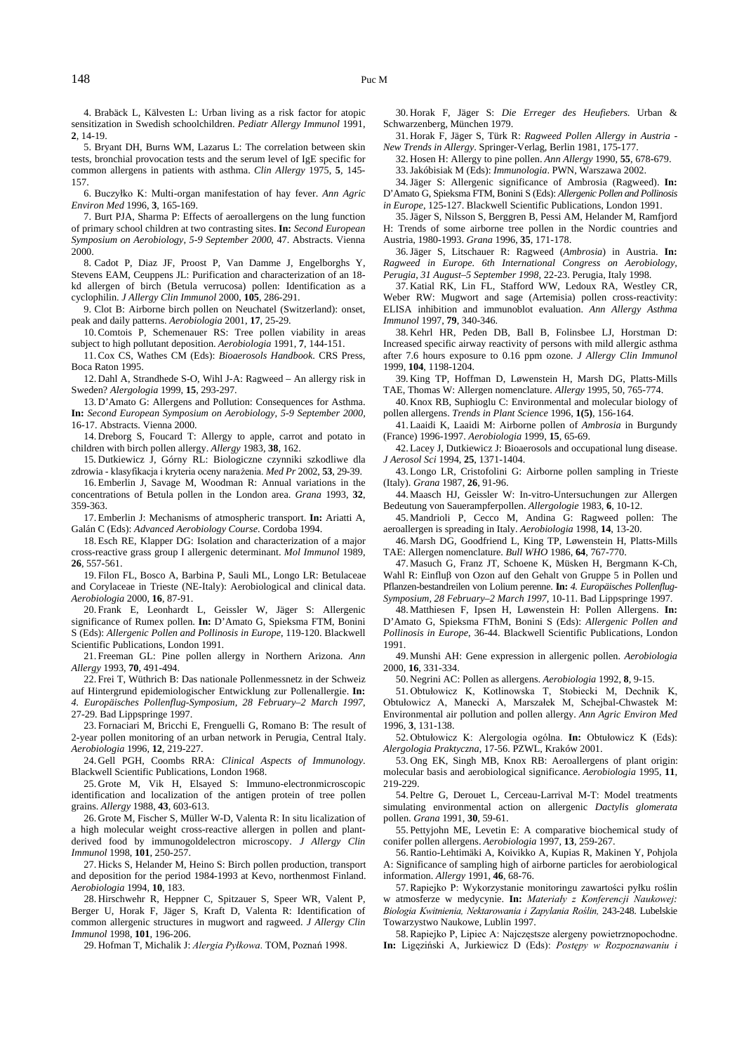4. Brabäck L, Kälvesten L: Urban living as a risk factor for atopic sensitization in Swedish schoolchildren. *Pediatr Allergy Immunol* 1991, **2**, 14-19.

5. Bryant DH, Burns WM, Lazarus L: The correlation between skin tests, bronchial provocation tests and the serum level of IgE specific for common allergens in patients with asthma. *Clin Allergy* 1975, **5**, 145- 157.

6. Buczyłko K: Multi-organ manifestation of hay fever. *Ann Agric Environ Med* 1996, **3**, 165-169.

7. Burt PJA, Sharma P: Effects of aeroallergens on the lung function of primary school children at two contrasting sites. **In:** *Second European Symposium on Aerobiology, 5-9 September 2000*, 47. Abstracts. Vienna 2000.

8. Cadot P, Diaz JF, Proost P, Van Damme J, Engelborghs Y, Stevens EAM, Ceuppens JL: Purification and characterization of an 18 kd allergen of birch (Betula verrucosa) pollen: Identification as a cyclophilin. *J Allergy Clin Immunol* 2000, **105**, 286-291.

9. Clot B: Airborne birch pollen on Neuchatel (Switzerland): onset, peak and daily patterns. *Aerobiologia* 2001, **17**, 25-29.

10. Comtois P, Schemenauer RS: Tree pollen viability in areas subject to high pollutant deposition. *Aerobiologia* 1991, **7**, 144-151.

11. Cox CS, Wathes CM (Eds): *Bioaerosols Handbook*. CRS Press, Boca Raton 1995.

12. Dahl A, Strandhede S-O, Wihl J-A: Ragweed – An allergy risk in Sweden? *Alergologia* 1999, **15**, 293-297.

13. D'Amato G: Allergens and Pollution: Consequences for Asthma. **In:** *Second European Symposium on Aerobiology, 5-9 September 2000,* 16-17. Abstracts. Vienna 2000.

14. Dreborg S, Foucard T: Allergy to apple, carrot and potato in children with birch pollen allergy. *Allergy* 1983, **38**, 162.

15. Dutkiewicz J, Górny RL: Biologiczne czynniki szkodliwe dla zdrowia - klasyfikacja i kryteria oceny narażenia. Med Pr 2002, 53, 29-39.

16. Emberlin J, Savage M, Woodman R: Annual variations in the concentrations of Betula pollen in the London area. *Grana* 1993, **32**, 359-363.

17. Emberlin J: Mechanisms of atmospheric transport. **In:** Ariatti A, Galán C (Eds): *Advanced Aerobiology Course*. Cordoba 1994.

18. Esch RE, Klapper DG: Isolation and characterization of a major cross-reactive grass group I allergenic determinant. *Mol Immunol* 1989, **26**, 557-561.

19. Filon FL, Bosco A, Barbina P, Sauli ML, Longo LR: Betulaceae and Corylaceae in Trieste (NE-Italy): Aerobiological and clinical data. *Aerobiologia* 2000, **16**, 87-91.

20. Frank E, Leonhardt L, Geissler W, Jäger S: Allergenic significance of Rumex pollen. **In:** D'Amato G, Spieksma FTM, Bonini S (Eds): *Allergenic Pollen and Pollinosis in Europe*, 119-120. Blackwell Scientific Publications, London 1991.

21. Freeman GL: Pine pollen allergy in Northern Arizona. *Ann Allergy* 1993, **70**, 491-494.

22. Frei T, Wüthrich B: Das nationale Pollenmessnetz in der Schweiz auf Hintergrund epidemiologischer Entwicklung zur Pollenallergie. **In:** *4. Europäisches Pollenflug-Symposium, 28 February–2 March 1997*, 27-29. Bad Lippspringe 1997.

23. Fornaciari M, Bricchi E, Frenguelli G, Romano B: The result of 2-year pollen monitoring of an urban network in Perugia, Central Italy. *Aerobiologia* 1996, **12**, 219-227.

24. Gell PGH, Coombs RRA: *Clinical Aspects of Immunology*. Blackwell Scientific Publications, London 1968.

25. Grote M, Vik H, Elsayed S: Immuno-electronmicroscopic identification and localization of the antigen protein of tree pollen grains. *Allergy* 1988, **43**, 603-613.

26. Grote M, Fischer S, Müller W-D, Valenta R: In situ licalization of a high molecular weight cross-reactive allergen in pollen and plantderived food by immunogoldelectron microscopy. *J Allergy Clin Immunol* 1998, **101**, 250-257.

27. Hicks S, Helander M, Heino S: Birch pollen production, transport and deposition for the period 1984-1993 at Kevo, northenmost Finland. *Aerobiologia* 1994, **10**, 183.

28. Hirschwehr R, Heppner C, Spitzauer S, Speer WR, Valent P, Berger U, Horak F, Jäger S, Kraft D, Valenta R: Identification of common allergenic structures in mugwort and ragweed. *J Allergy Clin Immunol* 1998, **101**, 196-206.

29. Hofman T, Michalik J: Alergia Pyłkowa. TOM, Poznań 1998.

30. Horak F, Jäger S: *Die Erreger des Heufiebers*. Urban & Schwarzenberg, München 1979.

31. Horak F, Jäger S, Türk R: *Ragweed Pollen Allergy in Austria - New Trends in Allergy*. Springer-Verlag, Berlin 1981, 175-177.

32. Hosen H: Allergy to pine pollen. *Ann Allergy* 1990, **55**, 678-679. 33. Jakóbisiak M (Eds): *Immunologia*. PWN, Warszawa 2002.

34. Jäger S: Allergenic significance of Ambrosia (Ragweed). **In:** D'Amato G, Spieksma FTM, Bonini S (Eds): *Allergenic Pollen and Pollinosis in Europe*, 125-127. Blackwell Scientific Publications, London 1991.

35. Jäger S, Nilsson S, Berggren B, Pessi AM, Helander M, Ramfjord H: Trends of some airborne tree pollen in the Nordic countries and Austria, 1980-1993. *Grana* 1996, **35**, 171-178.

36. Jäger S, Litschauer R: Ragweed (*Ambrosia*) in Austria. **In:** *Ragweed in Europe. 6th International Congress on Aerobiology, Perugia, 31 August–5 September 1998,* 22-23. Perugia, Italy 1998.

37. Katial RK, Lin FL, Stafford WW, Ledoux RA, Westley CR, Weber RW: Mugwort and sage (Artemisia) pollen cross-reactivity: ELISA inhibition and immunoblot evaluation. *Ann Allergy Asthma Immunol* 1997, **79**, 340-346.

38. Kehrl HR, Peden DB, Ball B, Folinsbee LJ, Horstman D: Increased specific airway reactivity of persons with mild allergic asthma after 7.6 hours exposure to 0.16 ppm ozone. *J Allergy Clin Immunol* 1999, **104**, 1198-1204.

39. King TP, Hoffman D, Løwenstein H, Marsh DG, Platts-Mills TAE, Thomas W: Allergen nomenclature. *Allergy* 1995, 50, 765-774.

40. Knox RB, Suphioglu C: Environmental and molecular biology of pollen allergens. *Trends in Plant Science* 1996, **1(5)**, 156-164.

41. Laaidi K, Laaidi M: Airborne pollen of *Ambrosia* in Burgundy (France) 1996-1997. *Aerobiologia* 1999, **15**, 65-69.

42. Lacey J, Dutkiewicz J: Bioaerosols and occupational lung disease. *J Aerosol Sci* 1994, **25**, 1371-1404.

43. Longo LR, Cristofolini G: Airborne pollen sampling in Trieste (Italy). *Grana* 1987, **26**, 91-96.

44. Maasch HJ, Geissler W: In-vitro-Untersuchungen zur Allergen Bedeutung von Sauerampferpollen. *Allergologie* 1983, **6**, 10-12.

45. Mandrioli P, Cecco M, Andina G: Ragweed pollen: The aeroallergen is spreading in Italy. *Aerobiologia* 1998, **14**, 13-20.

46. Marsh DG, Goodfriend L, King TP, Løwenstein H, Platts-Mills TAE: Allergen nomenclature. *Bull WHO* 1986, **64**, 767-770.

47. Masuch G, Franz JT, Schoene K, Müsken H, Bergmann K-Ch, Wahl R: Einfluß von Ozon auf den Gehalt von Gruppe 5 in Pollen und Pflanzen-bestandreilen von Lolium perenne. **In:** *4. Europäisches Pollenflug-Symposium, 28 February–2 March 1997,* 10-11. Bad Lippspringe 1997.

48. Matthiesen F, Ipsen H, Løwenstein H: Pollen Allergens. **In:** D'Amato G, Spieksma FThM, Bonini S (Eds): *Allergenic Pollen and Pollinosis in Europe*, 36-44. Blackwell Scientific Publications, London 1991.

49. Munshi AH: Gene expression in allergenic pollen. *Aerobiologia* 2000, **16**, 331-334.

50. Negrini AC: Pollen as allergens. *Aerobiologia* 1992, **8**, 9-15.

51. Obtułowicz K, Kotlinowska T, Stobiecki M, Dechnik K, Obtułowicz A, Manecki A, Marszałek M, Schejbal-Chwastek M: Environmental air pollution and pollen allergy. *Ann Agric Environ Med* 1996, **3**, 131-138.

52. Obtułowicz K: Alergologia ogólna. **In:** Obtułowicz K (Eds): *Alergologia Praktyczna*, 17-56. PZWL, Kraków 2001.

53. Ong EK, Singh MB, Knox RB: Aeroallergens of plant origin: molecular basis and aerobiological significance. *Aerobiologia* 1995, **11**, 219-229.

54. Peltre G, Derouet L, Cerceau-Larrival M-T: Model treatments simulating environmental action on allergenic *Dactylis glomerata* pollen. *Grana* 1991, **30**, 59-61.

55. Pettyjohn ME, Levetin E: A comparative biochemical study of conifer pollen allergens. *Aerobiologia* 1997, **13**, 259-267.

56. Rantio-Lehtimäki A, Koivikko A, Kupias R, Makinen Y, Pohjola A: Significance of sampling high of airborne particles for aerobiological information. *Allergy* 1991, **46**, 68-76.

57. Rapiejko P: Wykorzystanie monitoringu zawartości pyłku roślin w atmosferze w medycynie. **In:** Materiały z Konferencji Naukowej: Biologia Kwitnienia, Nektarowania i Zapylania Roślin, 243-248. Lubelskie Towarzystwo Naukowe, Lublin 1997.

58. Rapiejko P, Lipiec A: Najczęstsze alergeny powietrznopochodne. In: Ligęziński A, Jurkiewicz D (Eds): Postępy w Rozpoznawaniu i